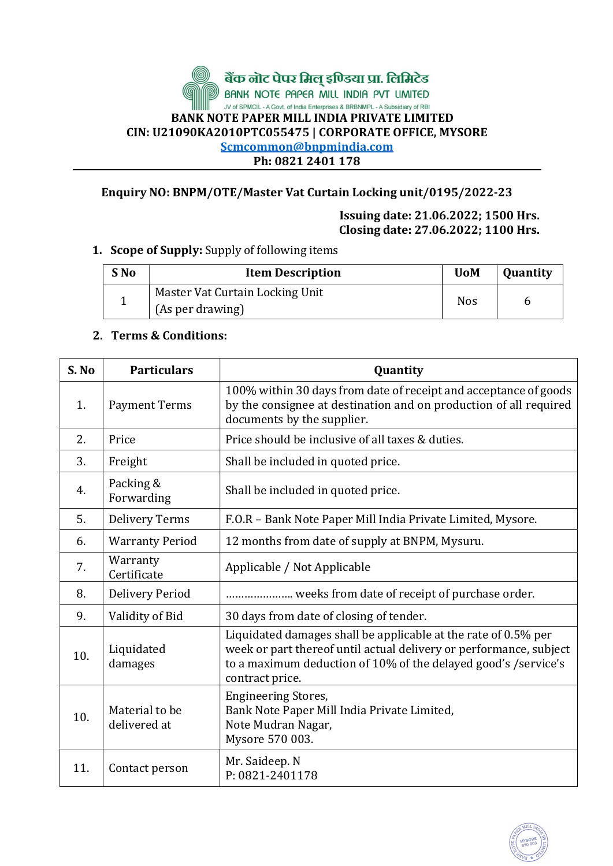# बैंक लोट पेपर मिलू इण्डिया प्रा. लिमिटेड<br>BANK NOTE PAPER MILL INDIA PVT LIMITED JV of SPMCIL - A Govt. of India Enterprises & BRBNMPL - A Subsidiary of RBI BANK NOTE PAPER MILL INDIA PRIVATE LIMITED CIN: U21090KA2010PTC055475 | CORPORATE OFFICE, MYSORE Scmcommon@bnpmindia.com Ph: 0821 2401 178

## Enquiry NO: BNPM/OTE/Master Vat Curtain Locking unit/0195/2022-23

Issuing date: 21.06.2022; 1500 Hrs. Closing date: 27.06.2022; 1100 Hrs.

#### 1. Scope of Supply: Supply of following items

| S No | <b>Item Description</b>         | <b>UoM</b> | <b>Quantity</b> |
|------|---------------------------------|------------|-----------------|
|      | Master Vat Curtain Locking Unit | <b>Nos</b> |                 |
|      | (As per drawing)                |            |                 |

### 2. Terms & Conditions:

| S. No | <b>Particulars</b>             | Quantity                                                                                                                                                                                                                  |  |  |
|-------|--------------------------------|---------------------------------------------------------------------------------------------------------------------------------------------------------------------------------------------------------------------------|--|--|
| 1.    | <b>Payment Terms</b>           | 100% within 30 days from date of receipt and acceptance of goods<br>by the consignee at destination and on production of all required<br>documents by the supplier.                                                       |  |  |
| 2.    | Price                          | Price should be inclusive of all taxes & duties.                                                                                                                                                                          |  |  |
| 3.    | Freight                        | Shall be included in quoted price.                                                                                                                                                                                        |  |  |
| 4.    | Packing &<br>Forwarding        | Shall be included in quoted price.                                                                                                                                                                                        |  |  |
| 5.    | <b>Delivery Terms</b>          | F.O.R - Bank Note Paper Mill India Private Limited, Mysore.                                                                                                                                                               |  |  |
| 6.    | <b>Warranty Period</b>         | 12 months from date of supply at BNPM, Mysuru.                                                                                                                                                                            |  |  |
| 7.    | Warranty<br>Certificate        | Applicable / Not Applicable                                                                                                                                                                                               |  |  |
| 8.    | <b>Delivery Period</b>         | weeks from date of receipt of purchase order.                                                                                                                                                                             |  |  |
| 9.    | Validity of Bid                | 30 days from date of closing of tender.                                                                                                                                                                                   |  |  |
| 10.   | Liquidated<br>damages          | Liquidated damages shall be applicable at the rate of 0.5% per<br>week or part thereof until actual delivery or performance, subject<br>to a maximum deduction of 10% of the delayed good's /service's<br>contract price. |  |  |
| 10.   | Material to be<br>delivered at | <b>Engineering Stores,</b><br>Bank Note Paper Mill India Private Limited,<br>Note Mudran Nagar,<br>Mysore 570 003.                                                                                                        |  |  |
| 11.   | Contact person                 | Mr. Saideep. N<br>P: 0821-2401178                                                                                                                                                                                         |  |  |

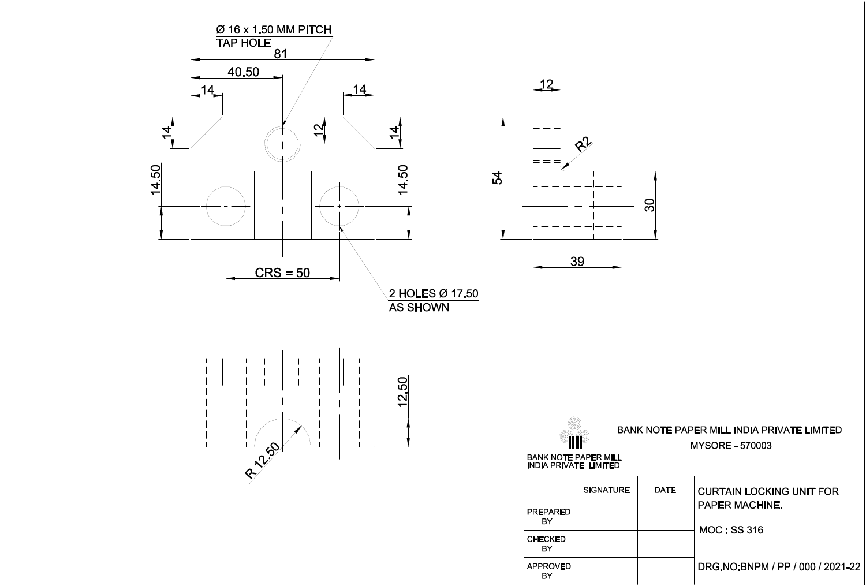

**APPROVED** 

BY

BANK NOTE PAPER MILL INDIA PRIVATE LIMITED **MYSORE - 570003 CURTAIN LOCKING UNIT FOR** PAPER MACHINE. **MOC: SS 316** 

DRG.NO:BNPM / PP / 000 / 2021-22